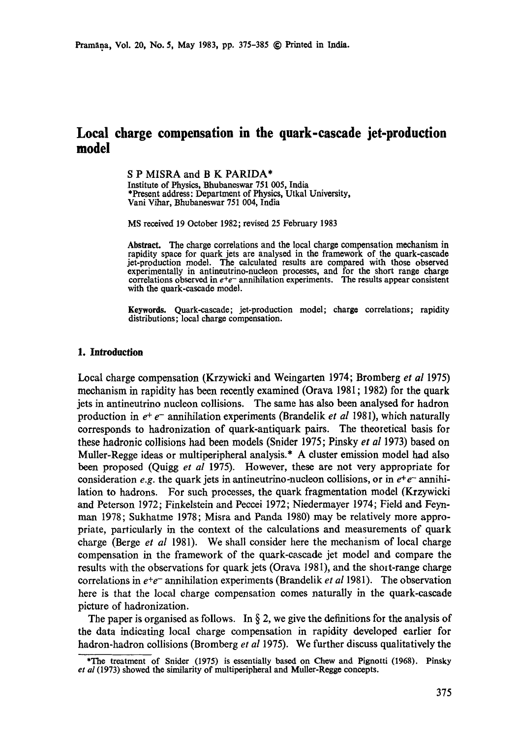# **Local charge compensation in the quark-cascade jet-production model**

S P MISRA and B K PARIDA\*

Institute of Physics, Bhubaneswar 751 005, India \*Present address: Department of Physics, Utkal University, Vani Vihar, Bhubaneswar 751 004, India

MS received 19 October 1982; revised 25 February 1983

Abstract. The charge correlations and the local charge compensation mechanism in rapidity space for quark jets are analysed in the framework of the quark-cascade jet-production model. The calculated results are compared with those observed experimentally in antineutrino-nucleon processes, and for the short range charge correlations observed in  $e^+e^-$  annihilation experiments. The results appear consistent with the quark-cascade model.

**Keywords.** Quark-cascade; jet-production model; charge correlations; rapidity distributions; local charge compensation.

# **1. Introduction**

Local charge compensation (Krzywicki and Weingarten 1974; Bromberg *et al* 1975) mechanism in rapidity has been recently examined (Orava 1981; 1982) for the quark jets in antineutrino nucleon collisions. The same has also been analysed for hadron production in  $e^+e^-$  annihilation experiments (Brandelik *et al* 1981), which naturally corresponds to hadronization of quark-antiquark pairs. The theoretical basis for these hadronic collisions had been models (Snider 1975; Pinsky *et al* 1973) based on Muller-Regge ideas or multiperipheral analysis.\* A cluster emission model had also been proposed (Quigg *et al* 1975). However, these are not very appropriate for consideration *e.g.* the quark jets in antineutrino-nucleon collisions, or in  $e^+e^-$  annihilation to hadrons. For such processes, the quark fragmentation model (Krzywicki and Peterson 1972; Finkelstein and Peccei 1972; Niedermayer 1974; Field and Feynman 1978; Sukhatme 1978; Misra and Panda 1980) may be relatively more appropriate, particularly in the context of the calculations and measurements of quark charge (Berge *et al* 1981). We shall consider here the mechanism of local charge compensation in the framework of the quark-cascade jet model and compare the results with the observations for quark jets (Orava 1981), and the shoit-range charge correlations in  $e^+e^-$  annihilation experiments (Brandelik *et al* 1981). The observation here is that the local charge compensation comes naturally in the quark-cascade picture of hadronization.

The paper is organised as follows. In  $\S$  2, we give the definitions for the analysis of the data indicating local charge compensation in rapidity developed earlier for hadron-hadron collisions (Bromberg *et al* 1975). We further discuss qualitatively the

<sup>\*</sup>The treatment of Snider (1975) is essentially based on Chew and Pignotti (1968). Pinsky *et al* (1973) showed the similarity of multiperipheral and Muller-Reggo concepts.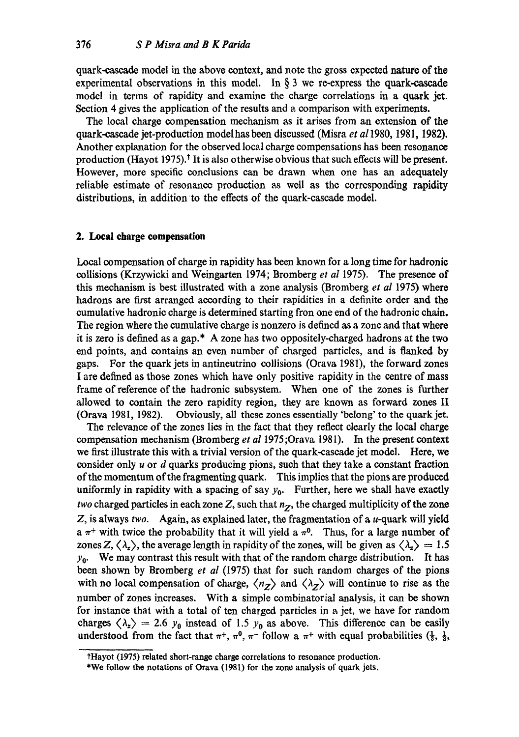quark-cascade model in the above context, and note the gross expected nature of the experimental observations in this model. In  $\S$  3 we re-express the quark-cascade model in terms of rapidity and examine the charge correlations in a quark jet. Section 4 gives the application of the results and a comparison with experiments.

The local charge compensation mechanism as it arises from an extension of the quark-cascade jet-production modelhas been discussed (Misra *et a11980,* 1981, 1982). Another explanation for the observed local charge compensations has been resonance production (Hayot 1975).\* It is also otherwise obvious that such effects will be present. However, more specific conclusions can be drawn when one has an adequately reliable estimate of resonance production as well as the corresponding rapidity distributions, in addition to the effects of the quark-cascade model.

## **2. Local charge compensation**

Local compensation of charge in rapidity has been known for a long time for hadronio collisions (Krzywicki and Weingarten 1974; Bromberg *et al* 1975). The presence of this mechanism is best illustrated with a zone analysis (Bromberg *et al* 1975) where hadrons are frst arranged according to their rapidities in a definite order and the cumulative hadronie charge is determined starting fron one end of the hadronic chain. The region where the cumulative charge is nonzero is defined as a zone and that where it is zero is defined as a gap.\* A zone has two oppositely-charged hadrons at the two end points, and contains an even number of charged particles, and is flanked by gaps. For the quark jets in antineutrino collisions (Orava 1981), the forward zones I are defined as those zones which have only positive rapidity in the centre of mass frame of reference of the hadronic subsystem. When one of the zones is further allowed to contain the zero rapidity region, they are known as forward zones II (Orava 1981, 1982). Obviously, all these zones essentially 'belong' to the quark jet.

The relevance of the zones lies in the fact that they reflect clearly the local charge compensation mechanism (Bromberg *et al* 1975 ;Orava 1981). In the present context we first illustrate this with a trivial version of the quark-cascade jet model. Here, we consider only  $u$  or  $d$  quarks producing pions, such that they take a constant fraction of the momentum of the fragmenting quark. This implies that the pions are produced uniformly in rapidity with a spacing of say  $y_0$ . Further, here we shall have exactly *two* charged particles in each zone Z, such that  $n_z$ , the charged multiplicity of the zone Z, is always *two.* Again, as explained later, the fragmentation of a u-quark will yield a  $\pi^+$  with twice the probability that it will yield a  $\pi^0$ . Thus, for a large number of zones Z,  $\langle \lambda_z \rangle$ , the average length in rapidity of the zones, will be given as  $\langle \lambda_z \rangle = 1.5$  $y_0$ . We may contrast this result with that of the random charge distribution. It has been shown by Bromberg *et al* (1975) that for such random charges of the pions with no local compensation of charge,  $\langle n_z \rangle$  and  $\langle \lambda_z \rangle$  will continue to rise as the number of zones increases. With a simple combinatorial analysis, it can be shown for instance that with a total of ten charged particles in a jet, we have for random charges  $\langle \lambda_z \rangle = 2.6$  y<sub>0</sub> instead of 1.5 y<sub>0</sub> as above. This difference can be easily understood from the fact that  $\pi^+$ ,  $\pi^0$ ,  $\pi^-$  follow a  $\pi^+$  with equal probabilities  $(\frac{1}{3}, \frac{1}{3}, \frac{1}{3})$ 

tHayot (1975) related short-range charge correlations to resonance production.

<sup>\*</sup>We follow the notations of Orava (1981) for the zone analysis of quark jets.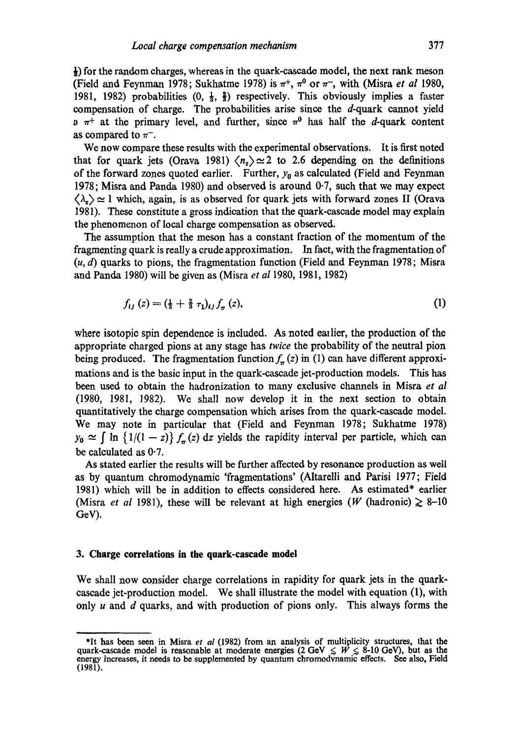$\frac{1}{2}$ ) for the random charges, whereas in the quark-cascade model, the next rank meson (Field and Feynman 1978; Sukhatme 1978) is  $\pi^{+}$ ,  $\pi^{0}$  or  $\pi^{-}$ , with (Misra *et al* 1980, 1981, 1982) probabilities  $(0, \frac{1}{3}, \frac{2}{3})$  respectively. This obviously implies a faster compensation of charge. The probabilities arise since the  $d$ -quark cannot yield a  $\pi^+$  at the primary level, and further, since  $\pi^0$  has half the d-quark content as compared to  $\pi^-$ .

We now compare these results with the experimental observations. It is first noted that for quark jets (Orava 1981)  $\langle n_z \rangle \simeq 2$  to 2.6 depending on the definitions of the forward zones quoted earlier. Further,  $y_0$  as calculated (Field and Feynman 1978; Misra and Panda 1980) and observed is around 0.7, such that we may expect  $\langle \lambda_z \rangle \simeq 1$  which, again, is as observed for quark jets with forward zones II (Orava 1981). These constitute a gross indication that the quark-cascade model may explain the phenomenon of local charge compensation as observed.

The assumption that the meson has a constant fraction of the momentum of the fragmenting quark is really a crude approximation. In fact, with the fragmentation of  $(u, d)$  quarks to pions, the fragmentation function (Field and Feynman 1978; Misra and Panda 1980) will be given as (Misra *et al* 1980, 1981, 1982)

$$
f_{ij}(z) = (\frac{1}{3} + \frac{2}{3} \tau_1)_{ij} f_\pi(z), \tag{1}
$$

where isotopic spin dependence is included. As noted eallier, the production of the appropriate charged pions at any stage has *twice* the probability of the neutral pion being produced. The fragmentation function  $f_{\pi}(z)$  in (1) can have different approximations and is the basic input in the quark-cascade jet-production models. This has been used to obtain the hadronization to many exclusive channels in Misra *et al*  (1980, 1981, 1982). We shall now develop it in the next section to obtain quantitatively the charge compensation which arises from the quark-cascade model. We may note in particular that (Field and Feynman 1978; Sukhatme 1978)  $y_0 \approx \int \ln \{1/(1-z)\} f_\pi(z) dz$  yields the rapidity interval per particle, which can be calculated as 0.7.

As stated earlier the results will be further affected by resonance production as well as by quantum chromodynamie 'fragmentations' (Altarelli and Parisi 1977; Field 1981) which will be in addition to effects considered here. As estimated\* earlier (Misra *et al* 1981), these will be relevant at high energies (W (hadronic)  $\geq 8{\text -}10$ GeV).

## **3. Charge correlations in the quark-cascade model**

We shall now consider charge correlations in rapidity for quark jets in the quarkcascade jet-production model. We shall illustrate the model with equation (1), with only  $u$  and  $d$  quarks, and with production of pions only. This always forms the

<sup>\*</sup>It has been seen in Misra *et al* (1982) from an analysis of multiplicity structures, that **the**  quark-cascade model is reasonable at moderate energies (2 GeV  $\leq W \leq 8$ -10 GeV), but as the energy increases, it needs *to* be supplemented by quantum ehromodvnamic effects. See also. Field (1981).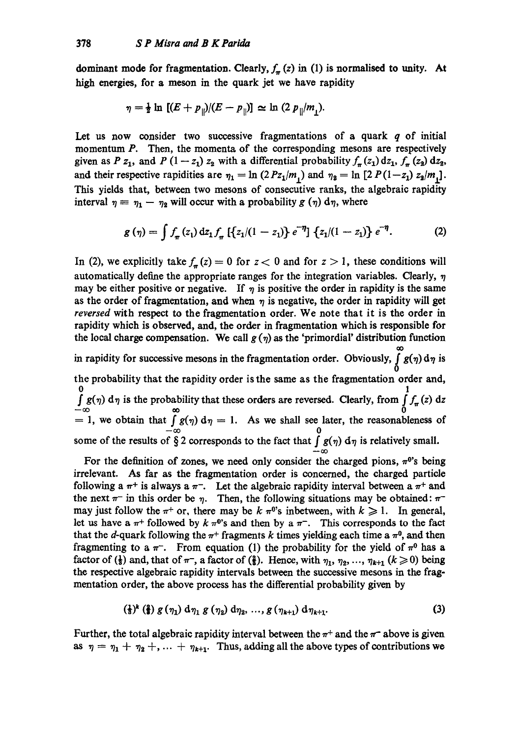dominant mode for fragmentation. Clearly,  $f_{\pi}(z)$  in (1) is normalised to unity. At high energies, for a meson in the quark jet we have rapidity

$$
\eta = \frac{1}{2} \ln \left[ (E + p_{\parallel})/(E - p_{\parallel}) \right] \simeq \ln (2 p_{\parallel}/m_1).
$$

Let us now consider two successive fragmentations of a quark **q** of initial momentum P. Then, the momenta of the corresponding mesons are respectively given as P z<sub>1</sub>, and P (1-z<sub>1</sub>) z<sub>2</sub> with a differential probability  $f_{\pi}(z_1) dz_1$ ,  $f_{\pi}(z_2) dz_2$ , and their respective rapidities are  $\eta_1 = \ln (2 P z_1 / m_1)$  and  $\eta_2 = \ln [2 P (1 - z_1) z_2 / m_1].$ This yields that, between two mesons of consecutive ranks, the algebraic rapidity interval  $\eta = \eta_1 - \eta_2$  will occur with a probability g  $(\eta)$  d $\eta$ , where

$$
g(\eta) = \int f_{\pi}(z_1) dz_1 f_{\pi} \left[ \{ z_1/(1-z_1) \} e^{-\eta} \right] \{ z_1/(1-z_1) \} e^{-\eta}.
$$
 (2)

In (2), we explicitly take  $f_{\pi}(z) = 0$  for  $z < 0$  and for  $z > 1$ , these conditions will automatically define the appropriate ranges for the integration variables. Clearly,  $\eta$ may be either positive or negative. If  $\eta$  is positive the order in rapidity is the same as the order of fragmentation, and when  $\eta$  is negative, the order in rapidity will get reversed with respect to the fragmentation order. We note that it is the order in rapidity which is observed, and, the order in fragmentation which is responsible for the local charge compensation. We call  $g(\eta)$  as the 'primordial' distribution function in rapidity for successive mesons in the fragmentation order. Obviously,  $\int_{-\infty}^{\infty} g(\eta) d\eta$  is

**0**  the probability that the rapidity order is the same as the fragmentation order and, **0 1**   $\int g(\eta) d\eta$  is the probability that these orders are reversed. Clearly, from  $\int f_{\pi}(z) dz$  $\bar{\alpha}$  **c**  $\bar{\alpha}$  **c**  $\alpha$  **c**  $\alpha$  **c**  $\alpha$  **c**  $\alpha$  **c**  $\alpha$  **c**  $\alpha$  **c**  $\alpha$  **c**  $\alpha$  **c**  $\alpha$  **c**  $\alpha$  **c**  $\alpha$  **c**  $\alpha$  **c**  $\alpha$  **c**  $\alpha$  **c**  $\alpha$  **c**  $\alpha$  **c**  $\alpha$  **c**  $\alpha$  **c**  $\alpha$  **c**  $\alpha$  **c**  $\alpha$  **c**  $\alpha$  **c** some of the results of  $\S 2$  corresponds to the fact that  $\int g(\eta) d\eta$  is relatively small.  $-\infty$ 

For the definition of zones, we need only consider the charged pions,  $\pi^{0}$ 's being irrelevant. As far as the fragmentation order is concerned, the charged particle following a  $\pi^+$  is always a  $\pi^-$ . Let the algebraic rapidity interval between a  $\pi^+$  and the next  $\pi^-$  in this order be  $\eta$ . Then, the following situations may be obtained:  $\pi^$ may just follow the  $\pi^+$  or, there may be  $k \pi^0$ 's inbetween, with  $k \geq 1$ . In general, let us have a  $\pi$ <sup>+</sup> followed by k  $\pi$ <sup>0</sup>'s and then by a  $\pi$ <sup>-</sup>. This corresponds to the fact that the d-quark following the  $\pi^+$  fragments k times yielding each time a  $\pi^0$ , and then fragmenting to a  $\pi^-$ . From equation (1) the probability for the yield of  $\pi^0$  has a factor of  $(\frac{1}{3})$  and, that of  $\pi^-$ , a factor of  $(\frac{2}{3})$ . Hence, with  $\eta_1, \eta_2, ..., \eta_{k+1}$  ( $k \geqslant 0$ ) being the respective algebraic rapidity intervals between the successive mesons in the fragmentation order, the above process has the differential probability given by

$$
(\frac{1}{3})^{k} (\frac{2}{3}) g (\eta_1) d \eta_1 g (\eta_2) d \eta_2, ..., g (\eta_{k+1}) d \eta_{k+1}.
$$
 (3)

Further, the total algebraic rapidity interval between the  $\pi^+$  and the  $\pi^-$  above is given as  $\eta = \eta_1 + \eta_2 + \ldots + \eta_{k+1}$ . Thus, adding all the above types of contributions we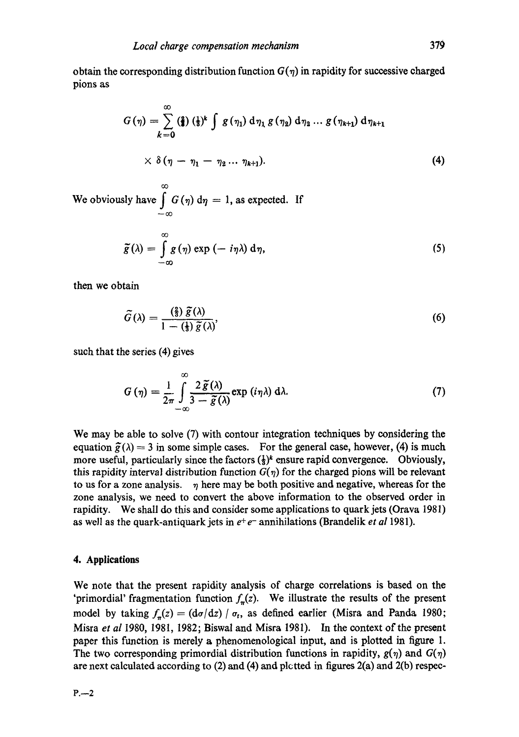obtain the corresponding distribution function  $G(\eta)$  in rapidity for successive charged pions as

$$
G(\eta) = \sum_{k=0}^{\infty} \left(\frac{2}{3}\right) \left(\frac{1}{3}\right)^k \int g(\eta_1) d\eta_1 g(\eta_2) d\eta_2 \dots g(\eta_{k+1}) d\eta_{k+1}
$$
  
 
$$
\times \delta(\eta - \eta_1 - \eta_2 \dots \eta_{k+1}). \tag{4}
$$

 $^\infty$ We obviously have  $\int G(\eta) d\eta = 1$ , as expected. If

$$
\tilde{g}(\lambda) = \int_{-\infty}^{\infty} g(\eta) \exp(-i\eta\lambda) d\eta,
$$
 (5)

then we obtain

$$
\widetilde{G}(\lambda) = \frac{\left(\frac{2}{3}\right)\widetilde{\mathcal{S}}(\lambda)}{1 - \left(\frac{1}{3}\right)\widetilde{\mathcal{S}}(\lambda)},\tag{6}
$$

such that the series (4) gives

$$
G(\eta) = \frac{1}{2\pi} \int_{-\infty}^{\infty} \frac{2\,\tilde{g}(\lambda)}{3-\tilde{g}(\lambda)} \exp(i\eta\lambda) \,d\lambda. \tag{7}
$$

We may be able to solve (7) with contour integration techniques by considering the equation  $\tilde{g}(\lambda) = 3$  in some simple cases. For the general case, however, (4) is much more useful, particularly since the factors  $(\frac{1}{3})^k$  ensure rapid convergence. Obviously, this rapidity interval distribution function  $G(\eta)$  for the charged pions will be relevant to us for a zone analysis.  $\eta$  here may be both positive and negative, whereas for the zone analysis, we need to convert the above information to the observed order in rapidity. We shall do this and consider some applications to quark jets (Orava 1981) as well as the quark-antiquark jets in  $e^+e^-$  annihilations (Brandelik *et al* 1981).

#### **4. Applications**

We note that the present rapidity analysis of charge correlations is based on the 'primordial' fragmentation function  $f_{\pi}(z)$ . We illustrate the results of the present model by taking  $f_n(z) = (d\sigma/dz) / \sigma_t$ , as defined earlier (Misra and Panda 1980; Misra *et al* I980, 1981, 1982; Biswal and Misra 1981). In the context of the present paper this function is merely a phenomenological input, and is plotted in figure 1. The two corresponding primordial distribution functions in rapidity,  $g(\eta)$  and  $G(\eta)$ are next calculated according to  $(2)$  and  $(4)$  and plotted in figures  $2(a)$  and  $2(b)$  respec-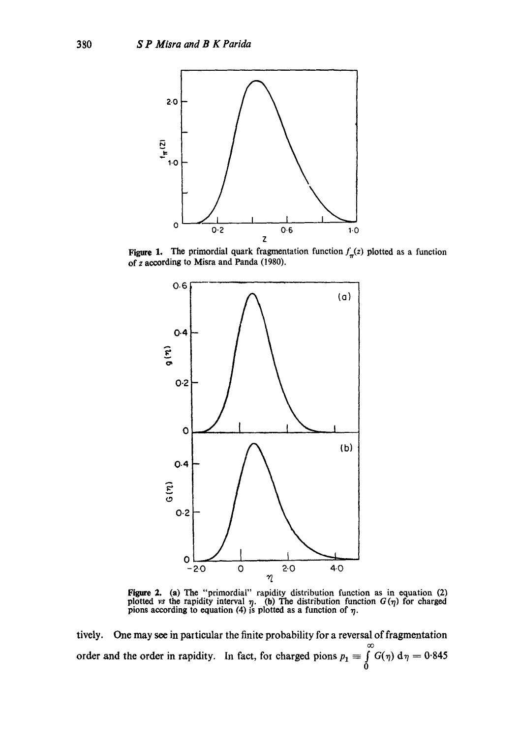

Figure 1. The primordial quark fragmentation function  $f_{\pi}(z)$  plotted as a function of z according to Misra and Panda **(1980).** 



Figure 2. (a) The "primordial" rapidity distribution function as in equation (2) plotted *vs* the rapidity interval  $\eta$ . (b) The distribution function  $G(\eta)$  for charged pions according to equation (4) is plotted as a function of  $\eta$ .

tively. One may see in particular the finite probability for a reversal of fragmentation oO order and the order in rapidity. In fact, for charged pions  $p_1 \equiv \int G(\eta) d\eta = 0.845$  $\mathbf{0}$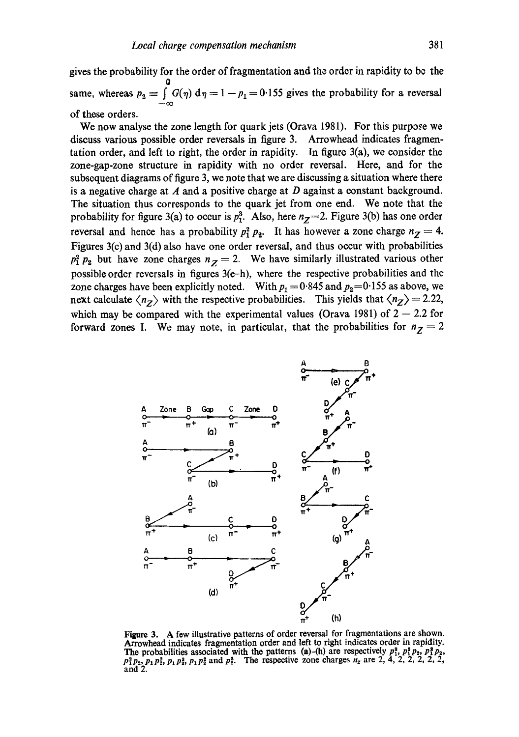gives the probability for the order of fragmentation and the order in rapidity to be the **0**  same, whereas  $p_2 \equiv \int G(\eta) d\eta = 1 - p_1 = 0.155$  gives the probability for a reversal  $-\infty$ of these orders.

We now analyse the zone length for quark jets (Orava 1981). For this purpose we discuss various possible order reversals in figure 3. Arrowhead indicates fragmentation order, and left to right, the order in rapidity. In figure 3(a), we consider the zone-gap-zone structure in rapidity with no order reversal. Here, and for the subsequent diagrams of figure 3, we note that we are discussing a situation where there is a negative charge at  $A$  and a positive charge at  $D$  against a constant background. The situation thus corresponds to the quark jet from one end. We note that the probability for figure 3(a) to occur is  $p_1^3$ . Also, here  $n_z=2$ . Figure 3(b) has one order reversal and hence has a probability  $p_1^2 p_2$ . It has however a zone charge  $n_Z = 4$ . Figures 3(c) and 3(d) also have one order reversal, and thus occur with probabilities  $p_1^2 p_2$  but have zone charges  $n_z = 2$ . We have similarly illustrated various other possible order reversals in figures 3(e-h), where the respective probabilities and the zone charges have been explicitly noted. With  $p_1 = 0.845$  and  $p_2 = 0.155$  as above, we next calculate  $\langle n_z \rangle$  with the respective probabilities. This yields that  $\langle n_z \rangle = 2.22$ , which may be compared with the experimental values (Orava 1981) of  $2 - 2.2$  for forward zones I. We may note, in particular, that the probabilities for  $n_Z = 2$ 



Figure 3. A few illustrative patterns of order reversal for fragmentations are shown. Arrowhead indicates fragmentation order and left to right indicates order in rapidity. The probabilities associated with the patterns (a)-(h) are respectively  $p_1^3$ ,  $p_1^3 p_2$ ,  $p_1^3 p_2$ ,  $p_1^3 p_3$ ,  $p_1 p_3^2$ , and  $p_2^3$ . The respective zone charges  $n_z$  are 2, 4, 2, 2, 2, 2, 2, and 2.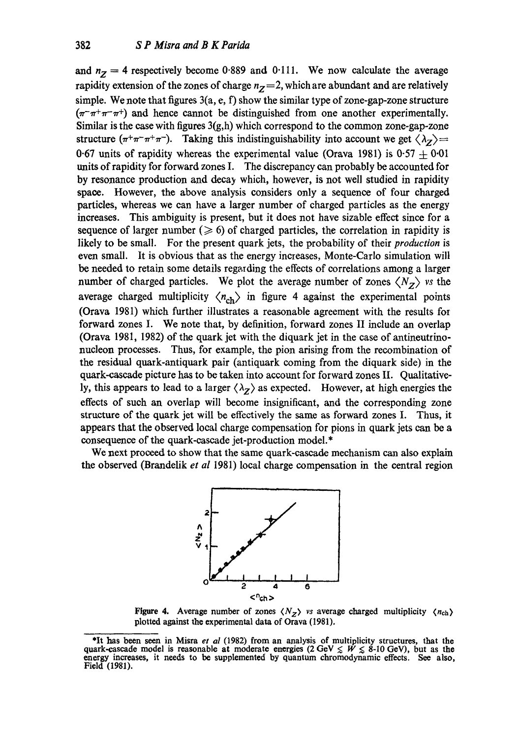and  $n<sub>Z</sub> = 4$  respectively become 0.889 and 0.111. We now calculate the average rapidity extension of the zones of charge  $n<sub>z</sub>=2$ , which are abundant and are relatively simple. We note that figures  $3(a, e, f)$  show the similar type of zone-gap-zone structure  $(\pi^-\pi^+\pi^-\pi^+)$  and hence cannot be distinguished from one another experimentally. Similar is the case with figures  $3(g,h)$  which correspond to the common zone-gap-zone structure  $(\pi^+\pi^-\pi^+\pi^-)$ . Taking this indistinguishability into account we get  $\langle \lambda_z \rangle$ 0.67 units of rapidity whereas the experimental value (Orava 1981) is  $0.57 \pm 0.01$ units of rapidity for forward zones I. The discrepancy can probably be accounted for by resonance production and decay which, however, is not well studied in rapidity space. However, the above analysis considers only a sequence of four charged particles, whereas we can have a larger number of charged particles as the energy increases. This ambiguity is present, but it does not have sizable effect since for a sequence of larger number ( $\geqslant$  6) of charged particles, the correlation in rapidity is likely to be small. For the present quark jets, the probability of their *production* is even small. It is obvious that as the energy increases, Monte-Carlo simulation will be needed to retain some details regarding the effects of correlations among a larger number of charged particles. We plot the average number of zones  $\langle N_z \rangle$  *vs* the average charged multiplicity  $\langle n_{ch} \rangle$  in figure 4 against the experimental points (Orava 1981) which further illustrates a reasonable agreement with the results for forward zones I. We note that, by definition, forward zones II include an overlap (Orava 1981, 1982) of the quark jet with the diquark jet in the case of antineutrinonucleon processes. Thus, for example, the pion arising from the recombination of the residual quark-antiquark pair (antiquark coming from the diquark side) in the quark-cascade picture has to be taken into account for forward zones II. Qualitatively, this appears to lead to a larger  $\langle \lambda_z \rangle$  as expected. However, at high energies the effects of such an overlap will become insignificant, and the corresponding zone structure of the quark jet will be effectively the same as forward zones I. Thus, it appears that the observed local charge compensation for pions in quark jets can be a consequence of the quark-cascade jet-production model.\*

We next proceed to show that the same quark-cascade mechanism can also explain the observed (Brandelik *et al* 1981) local charge compensation in the central region



Figure 4. Average number of zones  $\langle N_z \rangle$  vs average charged multiplicity  $\langle n_{\text{ch}} \rangle$ plotted against the experimental data of Orava (1981).

<sup>\*</sup>It has been seen in Misra *et al* (1982) from an analysis of multiplicity structures, that **the**  quark-cascade model is reasonable at moderate energies (2 GeV  $\leq W \leq 8-10$  GeV), but as the energy increases, it needs to be supplemented by quantum chromodynamic effects. See also, Field (1981).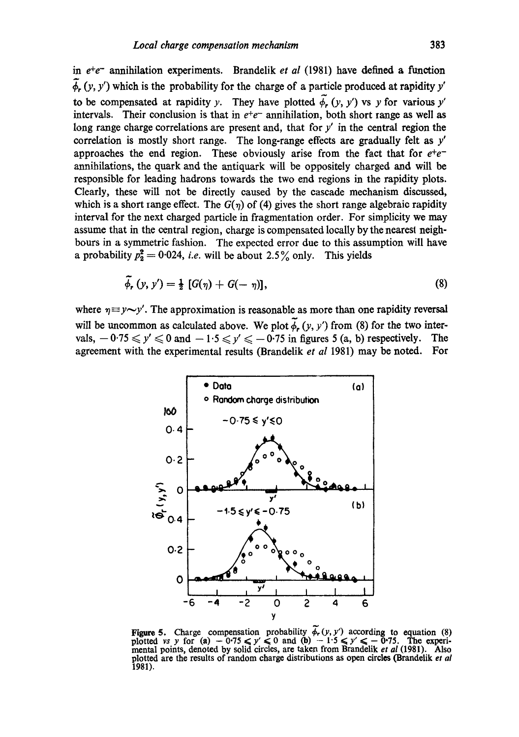in e<sup>+</sup>e<sup>-</sup> annihilation experiments. Brandelik *et al* (1981) have defined a function  $\overline{\phi}_r$  (y, y') which is the probability for the charge of a particle produced at rapidity y' to be compensated at rapidity *y*. They have plotted  $\tilde{\phi}_r$  (*y*, *y'*) vs *y* for various *y'* intervals. Their conclusion is that in  $e^+e^-$  annihilation, both short range as well as long range charge correlations are present and, that for  $y'$  in the central region the correlation is mostly short range. The long-range effects are gradually felt as  $y'$ approaches the end region. These obviously arise from the fact that for  $e^+e^$ annihilations, the quark and the antiquark will be oppositely charged and will be responsible for leading hadrons towards the two end regions in the rapidity plots. Clearly, these will not be directly caused by the cascade mechanism discussed, which is a short range effect. The  $G(\eta)$  of (4) gives the short range algebraic rapidity interval for the next charged particle in fragmentation order. For simplicity we may assume that in the central region, charge is compensated locally by the nearest neighbouts in a symmetric fashion. The expected error due to this assumption will have a probability  $p_2^2 = 0.024$ , *i.e.* will be about 2.5% only. This yields

$$
\tilde{\phi}_{r}(y, y') = \frac{1}{2} [G(\eta) + G(-\eta)], \qquad (8)
$$

where  $\eta \equiv y \sim y'$ . The approximation is reasonable as more than one rapidity reversal will be uncommon as calculated above. We plot  $\phi_r$ , (y, y') from (8) for the two intervals,  $-0.75 \le y' \le 0$  and  $-1.5 \le y' \le -0.75$  in figures 5 (a, b) respectively. The agreement with the experimental results (Brandelik *et al* 1981) may be noted. For



Figure 5. Charge compensation probability  $\phi_r(y, y')$  according to equation (8) plotted vs y for (a)  $-0.75 \le y' \le 0$  and (b)  $-1.5 \le y' \le -0.75$ . The experimental points, denoted by solid circles, are taken from Brandelik *et al* (1981). Also plotted are the results of random charge distributions as open circles (Brandelik *et al*  1981).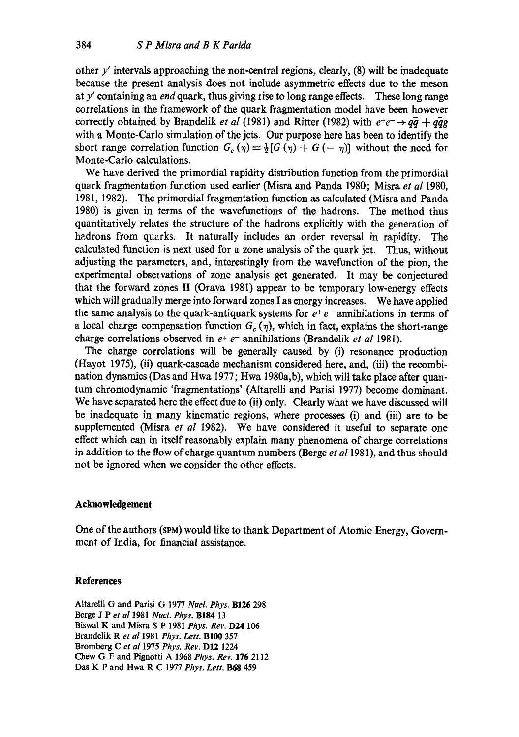other  $y'$  intervals approaching the non-central regions, clearly,  $(8)$  will be inadequate because the present analysis does not include asymmetric effects due to the meson at y' containing an *endquark,* thus giving rise to long range effects. These long range correlations in the fiamework of the quark fragmentation model have been however correctly obtained by Brandelik *et al* (1981) and Ritter (1982) with  $e^+e^- \rightarrow q\bar{q} + q\bar{q}g$ with a Monte-Carlo simulation of the jets. Our purpose here has been to identify the short range correlation function  $G_c(\eta) = \frac{1}{2}[G(\eta) + G(-\eta)]$  without the need for Monte-Carlo calculations.

We have derived the primordial rapidity distribution function from the primordial quark fragmentation function used earlier (Misra and Panda 1980; Misra *et al* 1980, 1981, 1982). The primordial fragmentation function as calculated (Misra and Panda 1980) is given in terms of the wavefunctions of the hadrons. The method thus quantitatively relates the structure of the hadrons explicitly with the generation of hadrons from quarks. It naturally includes an order reversal in rapidity. The calculated function is next used for a zone analysis of the quark jet. Thus, without adjusting the parameters, and, interestingly from the wavefunetion of the pion, the experimental observations of zone analysis get generated. It may be conjectured that the forward zones II (Orava 1981) appear to be temporary low-energy effects which will gradually merge into forward zones I as energy increases. We have applied the same analysis to the quark-antiquark systems for  $e^+e^-$  annihilations in terms of a local charge compensation function  $G_c(\eta)$ , which in fact, explains the short-range charge correlations observed in e+ e- annihilations (Brandelik *et al* 1981).

The charge correlations will be generally caused by (i) resonance production (Hayot 1975), (it) quark-cascade mechanism considered here, and, (iii) the recombination dynamics (Das and Hwa 1977; Hwa 1980a,b), which will take place after quantum chromodynamic 'fragmentations' (Altarelli and Parisi 1977) become dominant. We have separated here the effect due to (ii) only. Clearly what we have discussed will be inadequate in many kinematic regions, where processes (i) and (iii) are to be supplemented (Misra *et al* 1982). We have considered it useful to separate one effect which can in itself reasonably explain many phenomena of charge correlations in addition to the flow of charge quantum numbers (Berge *et a11981),* and thus should not be ignored when we consider the other effects.

## **Acknowledgement**

One of the authors (SPM) would like to thank Department of Atomic Energy, Government of India, for financial assistance.

#### **References**

Altarelli G and Parisi G 1977 *Nucl. Phys.* B126 298 Berge J Pet *al* 1981 *Nucl. Phys.* B184 13 Biswal K and Misra S P 1981 *Phys. Rev.* D24 106 Brandelik R *et al* 1981 *Phys. Lett.* B100 357 Bromberg C *et al* 1975 *Phys. Rev.* D12 1224 Chew G F and Pignotti A 1968 *Phys. Rev.* 176 2112 Das K P and Hwa R C 1977 *Phys. Lett. 1368* 459